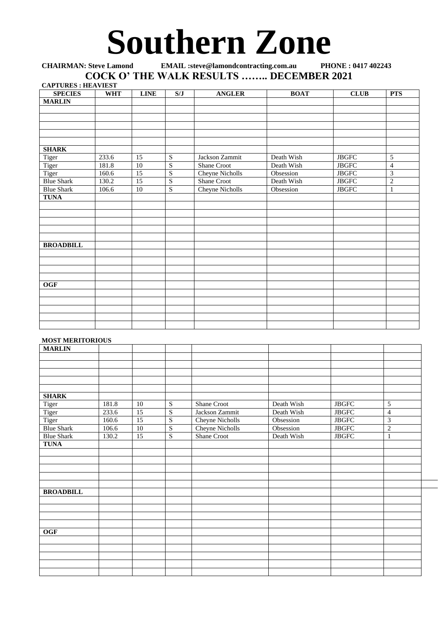## **Southern Zone**

## **CHAIRMAN: Steve Lamond EMAIL :steve@lamondcontracting.com.au PHONE : 0417 402243 COCK O' THE WALK RESULTS …….. DECEMBER 2021**

| <b>CAPTURES: HEAVIEST</b> |            |                 |                           |                        |             |                |                |
|---------------------------|------------|-----------------|---------------------------|------------------------|-------------|----------------|----------------|
| <b>SPECIES</b>            | <b>WHT</b> | <b>LINE</b>     | $\mathbf{S} / \mathbf{J}$ | <b>ANGLER</b>          | <b>BOAT</b> | <b>CLUB</b>    | <b>PTS</b>     |
| <b>MARLIN</b>             |            |                 |                           |                        |             |                |                |
|                           |            |                 |                           |                        |             |                |                |
|                           |            |                 |                           |                        |             |                |                |
|                           |            |                 |                           |                        |             |                |                |
|                           |            |                 |                           |                        |             |                |                |
|                           |            |                 |                           |                        |             |                |                |
| <b>SHARK</b>              |            |                 |                           |                        |             |                |                |
| Tiger                     | 233.6      | 15              | ${\bf S}$                 | Jackson Zammit         | Death Wish  | ${\rm JBGFC}$  | 5              |
| Tiger                     | 181.8      | 10              | $\overline{S}$            | <b>Shane Croot</b>     | Death Wish  | <b>JBGFC</b>   | $\overline{4}$ |
| Tiger                     | 160.6      | 15              | $\mathbf S$               | <b>Cheyne Nicholls</b> | Obsession   | <b>JBGFC</b>   | 3              |
| <b>Blue Shark</b>         | 130.2      | $\overline{15}$ | $\overline{S}$            | Shane Croot            | Death Wish  | $_{\rm JBGFC}$ | $\mathbf{2}$   |
| <b>Blue Shark</b>         | 106.6      | 10              | $\overline{S}$            | Cheyne Nicholls        | Obsession   | ${\rm JBGFC}$  | $\mathbf{1}$   |
| <b>TUNA</b>               |            |                 |                           |                        |             |                |                |
|                           |            |                 |                           |                        |             |                |                |
|                           |            |                 |                           |                        |             |                |                |
|                           |            |                 |                           |                        |             |                |                |
|                           |            |                 |                           |                        |             |                |                |
|                           |            |                 |                           |                        |             |                |                |
| <b>BROADBILL</b>          |            |                 |                           |                        |             |                |                |
|                           |            |                 |                           |                        |             |                |                |
|                           |            |                 |                           |                        |             |                |                |
|                           |            |                 |                           |                        |             |                |                |
|                           |            |                 |                           |                        |             |                |                |
| OGF                       |            |                 |                           |                        |             |                |                |
|                           |            |                 |                           |                        |             |                |                |
|                           |            |                 |                           |                        |             |                |                |
|                           |            |                 |                           |                        |             |                |                |
|                           |            |                 |                           |                        |             |                |                |
|                           |            |                 |                           |                        |             |                |                |

## **MOST MERITORIOUS**

| <b>MARLIN</b>     |       |                 |                |                        |            |                |                |
|-------------------|-------|-----------------|----------------|------------------------|------------|----------------|----------------|
|                   |       |                 |                |                        |            |                |                |
|                   |       |                 |                |                        |            |                |                |
|                   |       |                 |                |                        |            |                |                |
|                   |       |                 |                |                        |            |                |                |
|                   |       |                 |                |                        |            |                |                |
| <b>SHARK</b>      |       |                 |                |                        |            |                |                |
| Tiger             | 181.8 | 10              | S              | Shane Croot            | Death Wish | ${\rm JBGFC}$  | 5              |
| Tiger             | 233.6 | 15              | $\overline{S}$ | Jackson Zammit         | Death Wish | <b>JBGFC</b>   | $\overline{4}$ |
| Tiger             | 160.6 | $\overline{15}$ | $\overline{S}$ | <b>Cheyne Nicholls</b> | Obsession  | $_{\rm JBGFC}$ | 3              |
| <b>Blue Shark</b> | 106.6 | $\overline{10}$ | S              | Cheyne Nicholls        | Obsession  | <b>JBGFC</b>   | $\mathbf{2}$   |
| <b>Blue Shark</b> | 130.2 | $\overline{15}$ | S              | <b>Shane Croot</b>     | Death Wish | $_{\rm JBGFC}$ | $\mathbf{1}$   |
| <b>TUNA</b>       |       |                 |                |                        |            |                |                |
|                   |       |                 |                |                        |            |                |                |
|                   |       |                 |                |                        |            |                |                |
|                   |       |                 |                |                        |            |                |                |
|                   |       |                 |                |                        |            |                |                |
|                   |       |                 |                |                        |            |                |                |
| <b>BROADBILL</b>  |       |                 |                |                        |            |                |                |
|                   |       |                 |                |                        |            |                |                |
|                   |       |                 |                |                        |            |                |                |
|                   |       |                 |                |                        |            |                |                |
|                   |       |                 |                |                        |            |                |                |
| <b>OGF</b>        |       |                 |                |                        |            |                |                |
|                   |       |                 |                |                        |            |                |                |
|                   |       |                 |                |                        |            |                |                |
|                   |       |                 |                |                        |            |                |                |
|                   |       |                 |                |                        |            |                |                |
|                   |       |                 |                |                        |            |                |                |